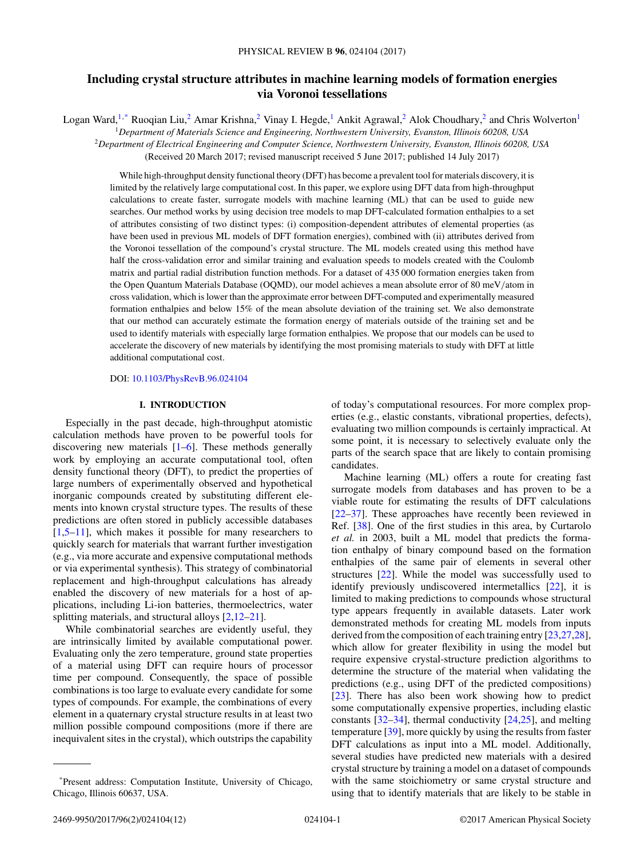# **Including crystal structure attributes in machine learning models of formation energies via Voronoi tessellations**

Logan Ward,<sup>1,\*</sup> Ruoqian Liu,<sup>2</sup> Amar Krishna,<sup>2</sup> Vinay I. Hegde,<sup>1</sup> Ankit Agrawal,<sup>2</sup> Alok Choudhary,<sup>2</sup> and Chris Wolverton<sup>1</sup>

<sup>1</sup>*Department of Materials Science and Engineering, Northwestern University, Evanston, Illinois 60208, USA*

<sup>2</sup>*Department of Electrical Engineering and Computer Science, Northwestern University, Evanston, Illinois 60208, USA*

(Received 20 March 2017; revised manuscript received 5 June 2017; published 14 July 2017)

While high-throughput density functional theory (DFT) has become a prevalent tool for materials discovery, it is limited by the relatively large computational cost. In this paper, we explore using DFT data from high-throughput calculations to create faster, surrogate models with machine learning (ML) that can be used to guide new searches. Our method works by using decision tree models to map DFT-calculated formation enthalpies to a set of attributes consisting of two distinct types: (i) composition-dependent attributes of elemental properties (as have been used in previous ML models of DFT formation energies), combined with (ii) attributes derived from the Voronoi tessellation of the compound's crystal structure. The ML models created using this method have half the cross-validation error and similar training and evaluation speeds to models created with the Coulomb matrix and partial radial distribution function methods. For a dataset of 435 000 formation energies taken from the Open Quantum Materials Database (OQMD), our model achieves a mean absolute error of 80 meV*/*atom in cross validation, which is lower than the approximate error between DFT-computed and experimentally measured formation enthalpies and below 15% of the mean absolute deviation of the training set. We also demonstrate that our method can accurately estimate the formation energy of materials outside of the training set and be used to identify materials with especially large formation enthalpies. We propose that our models can be used to accelerate the discovery of new materials by identifying the most promising materials to study with DFT at little additional computational cost.

#### DOI: [10.1103/PhysRevB.96.024104](https://doi.org/10.1103/PhysRevB.96.024104)

### **I. INTRODUCTION**

Especially in the past decade, high-throughput atomistic calculation methods have proven to be powerful tools for discovering new materials  $[1-6]$ . These methods generally work by employing an accurate computational tool, often density functional theory (DFT), to predict the properties of large numbers of experimentally observed and hypothetical inorganic compounds created by substituting different elements into known crystal structure types. The results of these predictions are often stored in publicly accessible databases  $[1,5-11]$ , which makes it possible for many researchers to quickly search for materials that warrant further investigation (e.g., via more accurate and expensive computational methods or via experimental synthesis). This strategy of combinatorial replacement and high-throughput calculations has already enabled the discovery of new materials for a host of applications, including Li-ion batteries, thermoelectrics, water splitting materials, and structural alloys [\[2,12–](#page-10-0)[21\]](#page-11-0).

While combinatorial searches are evidently useful, they are intrinsically limited by available computational power. Evaluating only the zero temperature, ground state properties of a material using DFT can require hours of processor time per compound. Consequently, the space of possible combinations is too large to evaluate every candidate for some types of compounds. For example, the combinations of every element in a quaternary crystal structure results in at least two million possible compound compositions (more if there are inequivalent sites in the crystal), which outstrips the capability

of today's computational resources. For more complex properties (e.g., elastic constants, vibrational properties, defects), evaluating two million compounds is certainly impractical. At some point, it is necessary to selectively evaluate only the parts of the search space that are likely to contain promising candidates.

Machine learning (ML) offers a route for creating fast surrogate models from databases and has proven to be a viable route for estimating the results of DFT calculations [\[22–37\]](#page-11-0). These approaches have recently been reviewed in Ref. [\[38\]](#page-11-0). One of the first studies in this area, by Curtarolo *et al.* in 2003, built a ML model that predicts the formation enthalpy of binary compound based on the formation enthalpies of the same pair of elements in several other structures [\[22\]](#page-11-0). While the model was successfully used to identify previously undiscovered intermetallics [\[22\]](#page-11-0), it is limited to making predictions to compounds whose structural type appears frequently in available datasets. Later work demonstrated methods for creating ML models from inputs derived from the composition of each training entry [\[23,27,28\]](#page-11-0), which allow for greater flexibility in using the model but require expensive crystal-structure prediction algorithms to determine the structure of the material when validating the predictions (e.g., using DFT of the predicted compositions) [\[23\]](#page-11-0). There has also been work showing how to predict some computationally expensive properties, including elastic constants [\[32–34\]](#page-11-0), thermal conductivity [\[24,25\]](#page-11-0), and melting temperature [\[39\]](#page-11-0), more quickly by using the results from faster DFT calculations as input into a ML model. Additionally, several studies have predicted new materials with a desired crystal structure by training a model on a dataset of compounds with the same stoichiometry or same crystal structure and using that to identify materials that are likely to be stable in

<sup>\*</sup>Present address: Computation Institute, University of Chicago, Chicago, Illinois 60637, USA.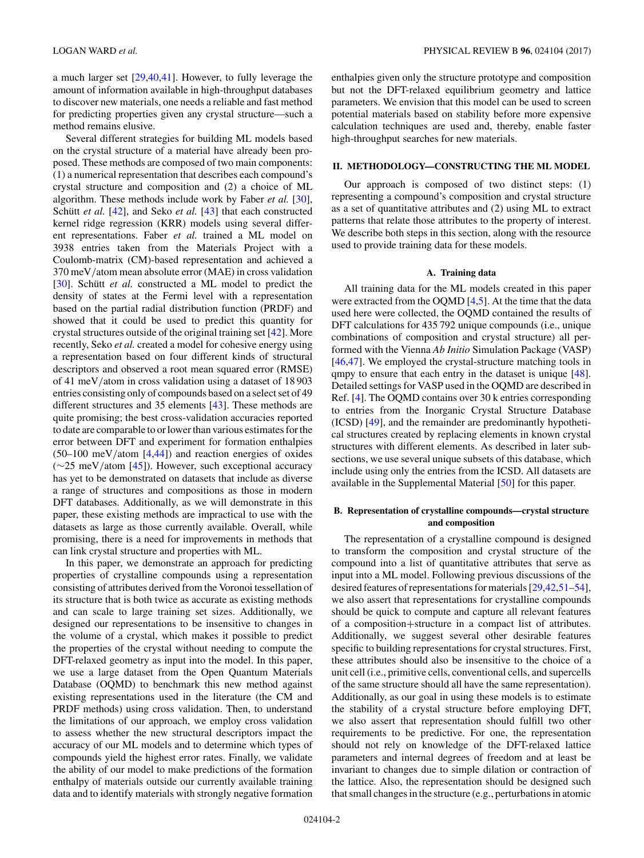a much larger set [\[29,40,41\]](#page-11-0). However, to fully leverage the amount of information available in high-throughput databases to discover new materials, one needs a reliable and fast method for predicting properties given any crystal structure—such a method remains elusive.

Several different strategies for building ML models based on the crystal structure of a material have already been proposed. These methods are composed of two main components: (1) a numerical representation that describes each compound's crystal structure and composition and (2) a choice of ML algorithm. These methods include work by Faber *et al.* [\[30\]](#page-11-0), Schütt *et al.* [\[42\]](#page-11-0), and Seko *et al.* [\[43\]](#page-11-0) that each constructed kernel ridge regression (KRR) models using several different representations. Faber *et al.* trained a ML model on 3938 entries taken from the Materials Project with a Coulomb-matrix (CM)-based representation and achieved a 370 meV*/*atom mean absolute error (MAE) in cross validation [\[30\]](#page-11-0). Schütt *et al.* constructed a ML model to predict the density of states at the Fermi level with a representation based on the partial radial distribution function (PRDF) and showed that it could be used to predict this quantity for crystal structures outside of the original training set [\[42\]](#page-11-0). More recently, Seko *et al.* created a model for cohesive energy using a representation based on four different kinds of structural descriptors and observed a root mean squared error (RMSE) of 41 meV*/*atom in cross validation using a dataset of 18 903 entries consisting only of compounds based on a select set of 49 different structures and 35 elements [\[43\]](#page-11-0). These methods are quite promising; the best cross-validation accuracies reported to date are comparable to or lower than various estimates for the error between DFT and experiment for formation enthalpies (50–100 meV*/*atom [\[4,](#page-10-0)[44\]](#page-11-0)) and reaction energies of oxides (∼25 meV*/*atom [\[45\]](#page-11-0)). However, such exceptional accuracy has yet to be demonstrated on datasets that include as diverse a range of structures and compositions as those in modern DFT databases. Additionally, as we will demonstrate in this paper, these existing methods are impractical to use with the datasets as large as those currently available. Overall, while promising, there is a need for improvements in methods that can link crystal structure and properties with ML.

In this paper, we demonstrate an approach for predicting properties of crystalline compounds using a representation consisting of attributes derived from the Voronoi tessellation of its structure that is both twice as accurate as existing methods and can scale to large training set sizes. Additionally, we designed our representations to be insensitive to changes in the volume of a crystal, which makes it possible to predict the properties of the crystal without needing to compute the DFT-relaxed geometry as input into the model. In this paper, we use a large dataset from the Open Quantum Materials Database (OQMD) to benchmark this new method against existing representations used in the literature (the CM and PRDF methods) using cross validation. Then, to understand the limitations of our approach, we employ cross validation to assess whether the new structural descriptors impact the accuracy of our ML models and to determine which types of compounds yield the highest error rates. Finally, we validate the ability of our model to make predictions of the formation enthalpy of materials outside our currently available training data and to identify materials with strongly negative formation enthalpies given only the structure prototype and composition but not the DFT-relaxed equilibrium geometry and lattice parameters. We envision that this model can be used to screen potential materials based on stability before more expensive calculation techniques are used and, thereby, enable faster high-throughput searches for new materials.

### **II. METHODOLOGY—CONSTRUCTING THE ML MODEL**

Our approach is composed of two distinct steps: (1) representing a compound's composition and crystal structure as a set of quantitative attributes and (2) using ML to extract patterns that relate those attributes to the property of interest. We describe both steps in this section, along with the resource used to provide training data for these models.

#### **A. Training data**

All training data for the ML models created in this paper were extracted from the OQMD [\[4,5\]](#page-10-0). At the time that the data used here were collected, the OQMD contained the results of DFT calculations for 435 792 unique compounds (i.e., unique combinations of composition and crystal structure) all performed with the Vienna *Ab Initio* Simulation Package (VASP) [\[46,47\]](#page-11-0). We employed the crystal-structure matching tools in qmpy to ensure that each entry in the dataset is unique [\[48\]](#page-11-0). Detailed settings for VASP used in the OQMD are described in Ref. [\[4\]](#page-10-0). The OQMD contains over 30 k entries corresponding to entries from the Inorganic Crystal Structure Database (ICSD) [\[49\]](#page-11-0), and the remainder are predominantly hypothetical structures created by replacing elements in known crystal structures with different elements. As described in later subsections, we use several unique subsets of this database, which include using only the entries from the ICSD. All datasets are available in the Supplemental Material [\[50\]](#page-11-0) for this paper.

### **B. Representation of crystalline compounds—crystal structure and composition**

The representation of a crystalline compound is designed to transform the composition and crystal structure of the compound into a list of quantitative attributes that serve as input into a ML model. Following previous discussions of the desired features of representations for materials [\[29,42,51–54\]](#page-11-0), we also assert that representations for crystalline compounds should be quick to compute and capture all relevant features of a composition+structure in a compact list of attributes. Additionally, we suggest several other desirable features specific to building representations for crystal structures. First, these attributes should also be insensitive to the choice of a unit cell (i.e., primitive cells, conventional cells, and supercells of the same structure should all have the same representation). Additionally, as our goal in using these models is to estimate the stability of a crystal structure before employing DFT, we also assert that representation should fulfill two other requirements to be predictive. For one, the representation should not rely on knowledge of the DFT-relaxed lattice parameters and internal degrees of freedom and at least be invariant to changes due to simple dilation or contraction of the lattice. Also, the representation should be designed such that small changes in the structure (e.g., perturbations in atomic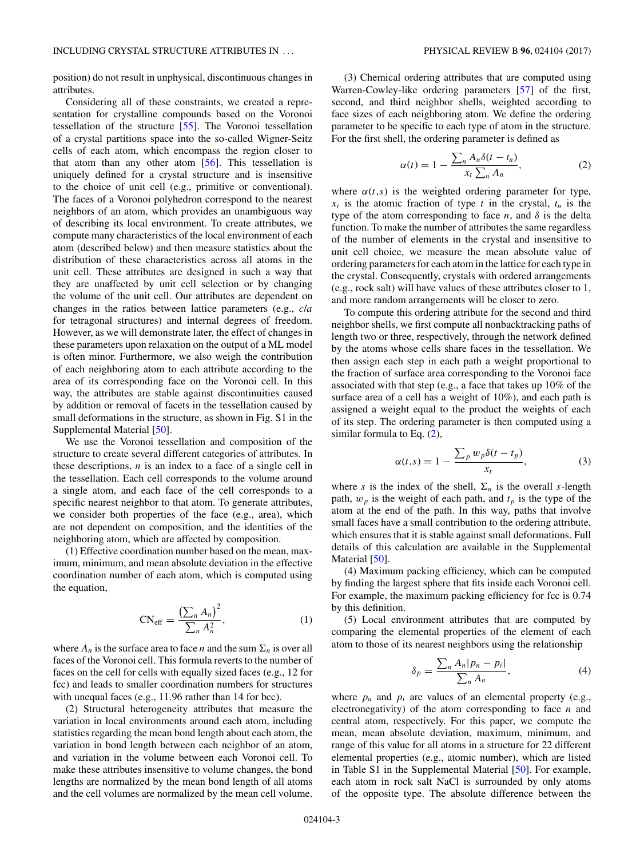position) do not result in unphysical, discontinuous changes in attributes.

Considering all of these constraints, we created a representation for crystalline compounds based on the Voronoi tessellation of the structure [\[55\]](#page-11-0). The Voronoi tessellation of a crystal partitions space into the so-called Wigner-Seitz cells of each atom, which encompass the region closer to that atom than any other atom [\[56\]](#page-11-0). This tessellation is uniquely defined for a crystal structure and is insensitive to the choice of unit cell (e.g., primitive or conventional). The faces of a Voronoi polyhedron correspond to the nearest neighbors of an atom, which provides an unambiguous way of describing its local environment. To create attributes, we compute many characteristics of the local environment of each atom (described below) and then measure statistics about the distribution of these characteristics across all atoms in the unit cell. These attributes are designed in such a way that they are unaffected by unit cell selection or by changing the volume of the unit cell. Our attributes are dependent on changes in the ratios between lattice parameters (e.g., *c*/*a* for tetragonal structures) and internal degrees of freedom. However, as we will demonstrate later, the effect of changes in these parameters upon relaxation on the output of a ML model is often minor. Furthermore, we also weigh the contribution of each neighboring atom to each attribute according to the area of its corresponding face on the Voronoi cell. In this way, the attributes are stable against discontinuities caused by addition or removal of facets in the tessellation caused by small deformations in the structure, as shown in Fig. S1 in the Supplemental Material [\[50\]](#page-11-0).

We use the Voronoi tessellation and composition of the structure to create several different categories of attributes. In these descriptions, *n* is an index to a face of a single cell in the tessellation. Each cell corresponds to the volume around a single atom, and each face of the cell corresponds to a specific nearest neighbor to that atom. To generate attributes, we consider both properties of the face (e.g., area), which are not dependent on composition, and the identities of the neighboring atom, which are affected by composition.

(1) Effective coordination number based on the mean, maximum, minimum, and mean absolute deviation in the effective coordination number of each atom, which is computed using the equation,

$$
CN_{\text{eff}} = \frac{\left(\sum_{n} A_{n}\right)^{2}}{\sum_{n} A_{n}^{2}},\tag{1}
$$

where  $A_n$  is the surface area to face *n* and the sum  $\Sigma_n$  is over all faces of the Voronoi cell. This formula reverts to the number of faces on the cell for cells with equally sized faces (e.g., 12 for fcc) and leads to smaller coordination numbers for structures with unequal faces (e.g., 11.96 rather than 14 for bcc).

(2) Structural heterogeneity attributes that measure the variation in local environments around each atom, including statistics regarding the mean bond length about each atom, the variation in bond length between each neighbor of an atom, and variation in the volume between each Voronoi cell. To make these attributes insensitive to volume changes, the bond lengths are normalized by the mean bond length of all atoms and the cell volumes are normalized by the mean cell volume.

(3) Chemical ordering attributes that are computed using Warren-Cowley-like ordering parameters [\[57\]](#page-11-0) of the first, second, and third neighbor shells, weighted according to face sizes of each neighboring atom. We define the ordering parameter to be specific to each type of atom in the structure. For the first shell, the ordering parameter is defined as

$$
\alpha(t) = 1 - \frac{\sum_{n} A_n \delta(t - t_n)}{x_t \sum_{n} A_n},
$$
\n(2)

where  $\alpha(t,s)$  is the weighted ordering parameter for type,  $x_t$  is the atomic fraction of type *t* in the crystal,  $t_n$  is the type of the atom corresponding to face  $n$ , and  $\delta$  is the delta function. To make the number of attributes the same regardless of the number of elements in the crystal and insensitive to unit cell choice, we measure the mean absolute value of ordering parameters for each atom in the lattice for each type in the crystal. Consequently, crystals with ordered arrangements (e.g., rock salt) will have values of these attributes closer to 1, and more random arrangements will be closer to zero.

To compute this ordering attribute for the second and third neighbor shells, we first compute all nonbacktracking paths of length two or three, respectively, through the network defined by the atoms whose cells share faces in the tessellation. We then assign each step in each path a weight proportional to the fraction of surface area corresponding to the Voronoi face associated with that step (e.g., a face that takes up 10% of the surface area of a cell has a weight of 10%), and each path is assigned a weight equal to the product the weights of each of its step. The ordering parameter is then computed using a similar formula to Eq. (2),

$$
\alpha(t,s) = 1 - \frac{\sum_{p} w_{p} \delta(t - t_{p})}{x_{t}},
$$
\n(3)

where *s* is the index of the shell,  $\Sigma_n$  is the overall *s*-length path,  $w_p$  is the weight of each path, and  $t_p$  is the type of the atom at the end of the path. In this way, paths that involve small faces have a small contribution to the ordering attribute, which ensures that it is stable against small deformations. Full details of this calculation are available in the Supplemental Material [\[50\]](#page-11-0).

(4) Maximum packing efficiency, which can be computed by finding the largest sphere that fits inside each Voronoi cell. For example, the maximum packing efficiency for fcc is  $0.74$ by this definition.

(5) Local environment attributes that are computed by comparing the elemental properties of the element of each atom to those of its nearest neighbors using the relationship

$$
\delta_p = \frac{\sum_n A_n |p_n - p_i|}{\sum_n A_n},\tag{4}
$$

where  $p_n$  and  $p_i$  are values of an elemental property (e.g., electronegativity) of the atom corresponding to face *n* and central atom, respectively. For this paper, we compute the mean, mean absolute deviation, maximum, minimum, and range of this value for all atoms in a structure for 22 different elemental properties (e.g., atomic number), which are listed in Table S1 in the Supplemental Material [\[50\]](#page-11-0). For example, each atom in rock salt NaCl is surrounded by only atoms of the opposite type. The absolute difference between the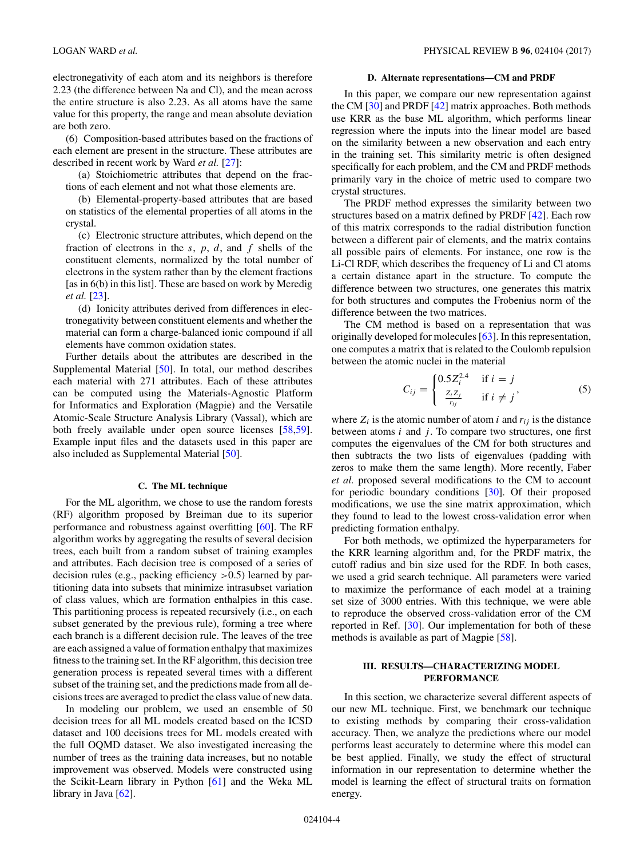electronegativity of each atom and its neighbors is therefore 2.23 (the difference between Na and Cl), and the mean across the entire structure is also 2.23. As all atoms have the same value for this property, the range and mean absolute deviation are both zero.

(6) Composition-based attributes based on the fractions of each element are present in the structure. These attributes are described in recent work by Ward *et al.* [\[27\]](#page-11-0):

(a) Stoichiometric attributes that depend on the fractions of each element and not what those elements are.

(b) Elemental-property-based attributes that are based on statistics of the elemental properties of all atoms in the crystal.

(c) Electronic structure attributes, which depend on the fraction of electrons in the *s*, *p*, *d*, and *f* shells of the constituent elements, normalized by the total number of electrons in the system rather than by the element fractions [as in 6(b) in this list]. These are based on work by Meredig *et al.* [\[23\]](#page-11-0).

(d) Ionicity attributes derived from differences in electronegativity between constituent elements and whether the material can form a charge-balanced ionic compound if all elements have common oxidation states.

Further details about the attributes are described in the Supplemental Material [\[50\]](#page-11-0). In total, our method describes each material with 271 attributes. Each of these attributes can be computed using the Materials-Agnostic Platform for Informatics and Exploration (Magpie) and the Versatile Atomic-Scale Structure Analysis Library (Vassal), which are both freely available under open source licenses [\[58,59\]](#page-11-0). Example input files and the datasets used in this paper are also included as Supplemental Material [\[50\]](#page-11-0).

#### **C. The ML technique**

For the ML algorithm, we chose to use the random forests (RF) algorithm proposed by Breiman due to its superior performance and robustness against overfitting [\[60\]](#page-11-0). The RF algorithm works by aggregating the results of several decision trees, each built from a random subset of training examples and attributes. Each decision tree is composed of a series of decision rules (e.g., packing efficiency *>*0.5) learned by partitioning data into subsets that minimize intrasubset variation of class values, which are formation enthalpies in this case. This partitioning process is repeated recursively (i.e., on each subset generated by the previous rule), forming a tree where each branch is a different decision rule. The leaves of the tree are each assigned a value of formation enthalpy that maximizes fitness to the training set. In the RF algorithm, this decision tree generation process is repeated several times with a different subset of the training set, and the predictions made from all decisions trees are averaged to predict the class value of new data.

In modeling our problem, we used an ensemble of 50 decision trees for all ML models created based on the ICSD dataset and 100 decisions trees for ML models created with the full OQMD dataset. We also investigated increasing the number of trees as the training data increases, but no notable improvement was observed. Models were constructed using the Scikit-Learn library in Python [\[61\]](#page-11-0) and the Weka ML library in Java [\[62\]](#page-11-0).

#### **D. Alternate representations—CM and PRDF**

In this paper, we compare our new representation against the CM [\[30\]](#page-11-0) and PRDF [\[42\]](#page-11-0) matrix approaches. Both methods use KRR as the base ML algorithm, which performs linear regression where the inputs into the linear model are based on the similarity between a new observation and each entry in the training set. This similarity metric is often designed specifically for each problem, and the CM and PRDF methods primarily vary in the choice of metric used to compare two crystal structures.

The PRDF method expresses the similarity between two structures based on a matrix defined by PRDF [\[42\]](#page-11-0). Each row of this matrix corresponds to the radial distribution function between a different pair of elements, and the matrix contains all possible pairs of elements. For instance, one row is the Li-Cl RDF, which describes the frequency of Li and Cl atoms a certain distance apart in the structure. To compute the difference between two structures, one generates this matrix for both structures and computes the Frobenius norm of the difference between the two matrices.

The CM method is based on a representation that was originally developed for molecules [\[63\]](#page-11-0). In this representation, one computes a matrix that is related to the Coulomb repulsion between the atomic nuclei in the material

$$
C_{ij} = \begin{cases} 0.5Z_i^{2.4} & \text{if } i = j \\ \frac{Z_i Z_j}{r_{ij}} & \text{if } i \neq j \end{cases}
$$
 (5)

where  $Z_i$  is the atomic number of atom *i* and  $r_{ij}$  is the distance between atoms *i* and *j*. To compare two structures, one first computes the eigenvalues of the CM for both structures and then subtracts the two lists of eigenvalues (padding with zeros to make them the same length). More recently, Faber *et al.* proposed several modifications to the CM to account for periodic boundary conditions [\[30\]](#page-11-0). Of their proposed modifications, we use the sine matrix approximation, which they found to lead to the lowest cross-validation error when predicting formation enthalpy.

For both methods, we optimized the hyperparameters for the KRR learning algorithm and, for the PRDF matrix, the cutoff radius and bin size used for the RDF. In both cases, we used a grid search technique. All parameters were varied to maximize the performance of each model at a training set size of 3000 entries. With this technique, we were able to reproduce the observed cross-validation error of the CM reported in Ref. [\[30\]](#page-11-0). Our implementation for both of these methods is available as part of Magpie [\[58\]](#page-11-0).

### **III. RESULTS—CHARACTERIZING MODEL PERFORMANCE**

In this section, we characterize several different aspects of our new ML technique. First, we benchmark our technique to existing methods by comparing their cross-validation accuracy. Then, we analyze the predictions where our model performs least accurately to determine where this model can be best applied. Finally, we study the effect of structural information in our representation to determine whether the model is learning the effect of structural traits on formation energy.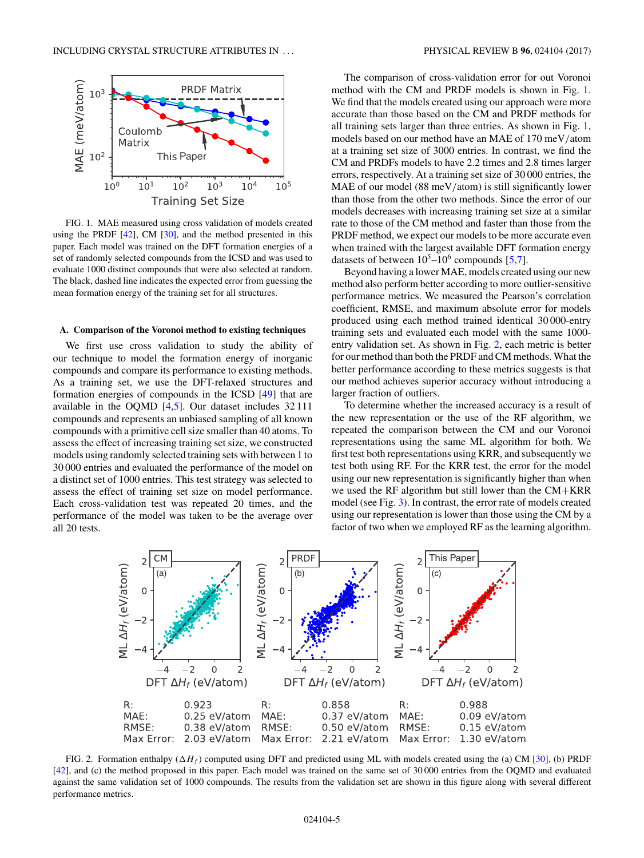

FIG. 1. MAE measured using cross validation of models created using the PRDF  $[42]$ , CM  $[30]$ , and the method presented in this paper. Each model was trained on the DFT formation energies of a set of randomly selected compounds from the ICSD and was used to evaluate 1000 distinct compounds that were also selected at random. The black, dashed line indicates the expected error from guessing the mean formation energy of the training set for all structures.

#### **A. Comparison of the Voronoi method to existing techniques**

We first use cross validation to study the ability of our technique to model the formation energy of inorganic compounds and compare its performance to existing methods. As a training set, we use the DFT-relaxed structures and formation energies of compounds in the ICSD [\[49\]](#page-11-0) that are available in the OQMD [\[4,5\]](#page-10-0). Our dataset includes 32 111 compounds and represents an unbiased sampling of all known compounds with a primitive cell size smaller than 40 atoms. To assess the effect of increasing training set size, we constructed models using randomly selected training sets with between 1 to 30 000 entries and evaluated the performance of the model on a distinct set of 1000 entries. This test strategy was selected to assess the effect of training set size on model performance. Each cross-validation test was repeated 20 times, and the performance of the model was taken to be the average over all 20 tests.

The comparison of cross-validation error for out Voronoi method with the CM and PRDF models is shown in Fig. 1. We find that the models created using our approach were more accurate than those based on the CM and PRDF methods for all training sets larger than three entries. As shown in Fig. 1, models based on our method have an MAE of 170 meV*/*atom at a training set size of 3000 entries. In contrast, we find the CM and PRDFs models to have 2.2 times and 2.8 times larger errors, respectively. At a training set size of 30 000 entries, the MAE of our model (88 meV/atom) is still significantly lower than those from the other two methods. Since the error of our models decreases with increasing training set size at a similar rate to those of the CM method and faster than those from the PRDF method, we expect our models to be more accurate even when trained with the largest available DFT formation energy datasets of between  $10^5$ – $10^6$  compounds [\[5,7\]](#page-10-0).

Beyond having a lower MAE, models created using our new method also perform better according to more outlier-sensitive performance metrics. We measured the Pearson's correlation coefficient, RMSE, and maximum absolute error for models produced using each method trained identical 30 000-entry training sets and evaluated each model with the same 1000 entry validation set. As shown in Fig. 2, each metric is better for our method than both the PRDF and CM methods. What the better performance according to these metrics suggests is that our method achieves superior accuracy without introducing a larger fraction of outliers.

To determine whether the increased accuracy is a result of the new representation or the use of the RF algorithm, we repeated the comparison between the CM and our Voronoi representations using the same ML algorithm for both. We first test both representations using KRR, and subsequently we test both using RF. For the KRR test, the error for the model using our new representation is significantly higher than when we used the RF algorithm but still lower than the CM+KRR model (see Fig. [3\)](#page-5-0). In contrast, the error rate of models created using our representation is lower than those using the CM by a factor of two when we employed RF as the learning algorithm.



FIG. 2. Formation enthalpy  $(\Delta H_f)$  computed using DFT and predicted using ML with models created using the (a) CM [\[30\]](#page-11-0), (b) PRDF [\[42\]](#page-11-0), and (c) the method proposed in this paper. Each model was trained on the same set of 30 000 entries from the OQMD and evaluated against the same validation set of 1000 compounds. The results from the validation set are shown in this figure along with several different performance metrics.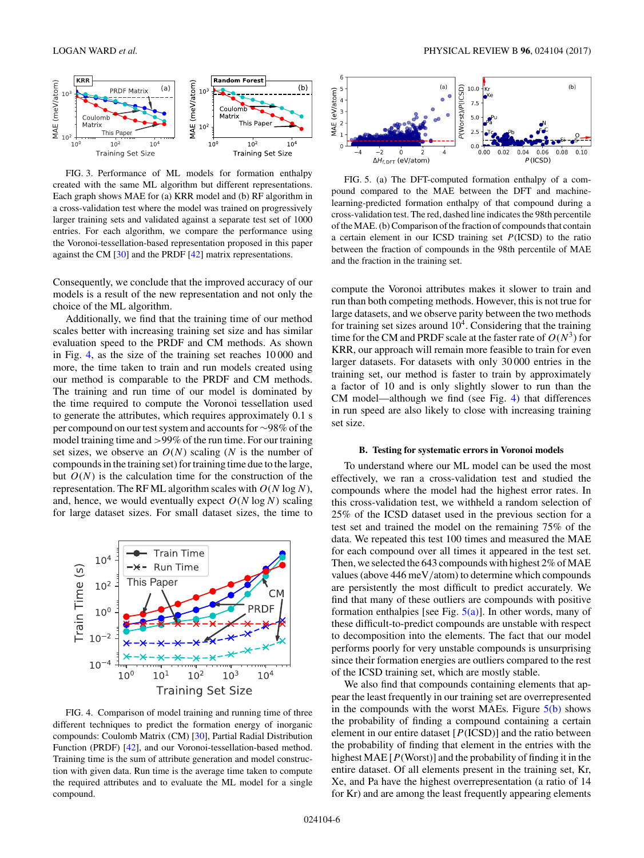<span id="page-5-0"></span>

FIG. 3. Performance of ML models for formation enthalpy created with the same ML algorithm but different representations. Each graph shows MAE for (a) KRR model and (b) RF algorithm in a cross-validation test where the model was trained on progressively larger training sets and validated against a separate test set of 1000 entries. For each algorithm, we compare the performance using the Voronoi-tessellation-based representation proposed in this paper against the CM [\[30\]](#page-11-0) and the PRDF [\[42\]](#page-11-0) matrix representations.

Consequently, we conclude that the improved accuracy of our models is a result of the new representation and not only the choice of the ML algorithm.

Additionally, we find that the training time of our method scales better with increasing training set size and has similar evaluation speed to the PRDF and CM methods. As shown in Fig. 4, as the size of the training set reaches 10 000 and more, the time taken to train and run models created using our method is comparable to the PRDF and CM methods. The training and run time of our model is dominated by the time required to compute the Voronoi tessellation used to generate the attributes, which requires approximately 0.1 s per compound on our test system and accounts for ∼98% of the model training time and *>*99% of the run time. For our training set sizes, we observe an  $O(N)$  scaling (*N* is the number of compounds in the training set) for training time due to the large, but  $O(N)$  is the calculation time for the construction of the representation. The RF ML algorithm scales with *O*(*N* log *N*), and, hence, we would eventually expect  $O(N \log N)$  scaling for large dataset sizes. For small dataset sizes, the time to



FIG. 4. Comparison of model training and running time of three different techniques to predict the formation energy of inorganic compounds: Coulomb Matrix (CM) [\[30\]](#page-11-0), Partial Radial Distribution Function (PRDF) [\[42\]](#page-11-0), and our Voronoi-tessellation-based method. Training time is the sum of attribute generation and model construction with given data. Run time is the average time taken to compute the required attributes and to evaluate the ML model for a single compound.



FIG. 5. (a) The DFT-computed formation enthalpy of a compound compared to the MAE between the DFT and machinelearning-predicted formation enthalpy of that compound during a cross-validation test. The red, dashed line indicates the 98th percentile of the MAE. (b) Comparison of the fraction of compounds that contain a certain element in our ICSD training set *P*(ICSD) to the ratio between the fraction of compounds in the 98th percentile of MAE and the fraction in the training set.

compute the Voronoi attributes makes it slower to train and run than both competing methods. However, this is not true for large datasets, and we observe parity between the two methods for training set sizes around  $10<sup>4</sup>$ . Considering that the training time for the CM and PRDF scale at the faster rate of  $O(N^3)$  for KRR, our approach will remain more feasible to train for even larger datasets. For datasets with only 30 000 entries in the training set, our method is faster to train by approximately a factor of 10 and is only slightly slower to run than the CM model—although we find (see Fig. 4) that differences in run speed are also likely to close with increasing training set size.

### **B. Testing for systematic errors in Voronoi models**

To understand where our ML model can be used the most effectively, we ran a cross-validation test and studied the compounds where the model had the highest error rates. In this cross-validation test, we withheld a random selection of 25% of the ICSD dataset used in the previous section for a test set and trained the model on the remaining 75% of the data. We repeated this test 100 times and measured the MAE for each compound over all times it appeared in the test set. Then, we selected the 643 compounds with highest 2% of MAE values (above 446 meV*/*atom) to determine which compounds are persistently the most difficult to predict accurately. We find that many of these outliers are compounds with positive formation enthalpies [see Fig.  $5(a)$ ]. In other words, many of these difficult-to-predict compounds are unstable with respect to decomposition into the elements. The fact that our model performs poorly for very unstable compounds is unsurprising since their formation energies are outliers compared to the rest of the ICSD training set, which are mostly stable.

We also find that compounds containing elements that appear the least frequently in our training set are overrepresented in the compounds with the worst MAEs. Figure  $5(b)$  shows the probability of finding a compound containing a certain element in our entire dataset [*P*(ICSD)] and the ratio between the probability of finding that element in the entries with the highest MAE [*P*(Worst)] and the probability of finding it in the entire dataset. Of all elements present in the training set, Kr, Xe, and Pa have the highest overrepresentation (a ratio of 14 for Kr) and are among the least frequently appearing elements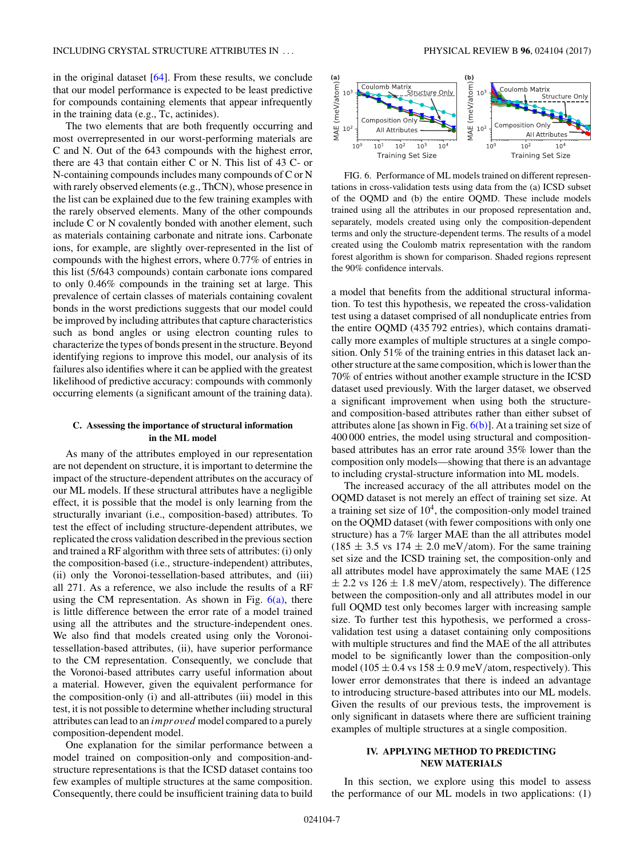in the original dataset [\[64\]](#page-11-0). From these results, we conclude that our model performance is expected to be least predictive for compounds containing elements that appear infrequently in the training data (e.g., Tc, actinides).

The two elements that are both frequently occurring and most overrepresented in our worst-performing materials are C and N. Out of the 643 compounds with the highest error, there are 43 that contain either C or N. This list of 43 C- or N-containing compounds includes many compounds of C or N with rarely observed elements (e.g., ThCN), whose presence in the list can be explained due to the few training examples with the rarely observed elements. Many of the other compounds include C or N covalently bonded with another element, such as materials containing carbonate and nitrate ions. Carbonate ions, for example, are slightly over-represented in the list of compounds with the highest errors, where 0.77% of entries in this list (5/643 compounds) contain carbonate ions compared to only 0.46% compounds in the training set at large. This prevalence of certain classes of materials containing covalent bonds in the worst predictions suggests that our model could be improved by including attributes that capture characteristics such as bond angles or using electron counting rules to characterize the types of bonds present in the structure. Beyond identifying regions to improve this model, our analysis of its failures also identifies where it can be applied with the greatest likelihood of predictive accuracy: compounds with commonly occurring elements (a significant amount of the training data).

### **C. Assessing the importance of structural information in the ML model**

As many of the attributes employed in our representation are not dependent on structure, it is important to determine the impact of the structure-dependent attributes on the accuracy of our ML models. If these structural attributes have a negligible effect, it is possible that the model is only learning from the structurally invariant (i.e., composition-based) attributes. To test the effect of including structure-dependent attributes, we replicated the cross validation described in the previous section and trained a RF algorithm with three sets of attributes: (i) only the composition-based (i.e., structure-independent) attributes, (ii) only the Voronoi-tessellation-based attributes, and (iii) all 271. As a reference, we also include the results of a RF using the CM representation. As shown in Fig.  $6(a)$ , there is little difference between the error rate of a model trained using all the attributes and the structure-independent ones. We also find that models created using only the Voronoitessellation-based attributes, (ii), have superior performance to the CM representation. Consequently, we conclude that the Voronoi-based attributes carry useful information about a material. However, given the equivalent performance for the composition-only (i) and all-attributes (iii) model in this test, it is not possible to determine whether including structural attributes can lead to an *improved* model compared to a purely composition-dependent model.

One explanation for the similar performance between a model trained on composition-only and composition-andstructure representations is that the ICSD dataset contains too few examples of multiple structures at the same composition. Consequently, there could be insufficient training data to build



FIG. 6. Performance of ML models trained on different representations in cross-validation tests using data from the (a) ICSD subset of the OQMD and (b) the entire OQMD. These include models trained using all the attributes in our proposed representation and, separately, models created using only the composition-dependent terms and only the structure-dependent terms. The results of a model created using the Coulomb matrix representation with the random forest algorithm is shown for comparison. Shaded regions represent the 90% confidence intervals.

a model that benefits from the additional structural information. To test this hypothesis, we repeated the cross-validation test using a dataset comprised of all nonduplicate entries from the entire OQMD (435 792 entries), which contains dramatically more examples of multiple structures at a single composition. Only 51% of the training entries in this dataset lack another structure at the same composition, which is lower than the 70% of entries without another example structure in the ICSD dataset used previously. With the larger dataset, we observed a significant improvement when using both the structureand composition-based attributes rather than either subset of attributes alone [as shown in Fig.  $6(b)$ ]. At a training set size of 400 000 entries, the model using structural and compositionbased attributes has an error rate around 35% lower than the composition only models—showing that there is an advantage to including crystal-structure information into ML models.

The increased accuracy of the all attributes model on the OQMD dataset is not merely an effect of training set size. At a training set size of  $10<sup>4</sup>$ , the composition-only model trained on the OQMD dataset (with fewer compositions with only one structure) has a 7% larger MAE than the all attributes model  $(185 \pm 3.5 \text{ vs } 174 \pm 2.0 \text{ meV/atom})$ . For the same training set size and the ICSD training set, the composition-only and all attributes model have approximately the same MAE (125  $\pm$  2.2 vs 126  $\pm$  1.8 meV/atom, respectively). The difference between the composition-only and all attributes model in our full OQMD test only becomes larger with increasing sample size. To further test this hypothesis, we performed a crossvalidation test using a dataset containing only compositions with multiple structures and find the MAE of the all attributes model to be significantly lower than the composition-only model (105  $\pm$  0.4 vs 158  $\pm$  0.9 meV/atom, respectively). This lower error demonstrates that there is indeed an advantage to introducing structure-based attributes into our ML models. Given the results of our previous tests, the improvement is only significant in datasets where there are sufficient training examples of multiple structures at a single composition.

### **IV. APPLYING METHOD TO PREDICTING NEW MATERIALS**

In this section, we explore using this model to assess the performance of our ML models in two applications: (1)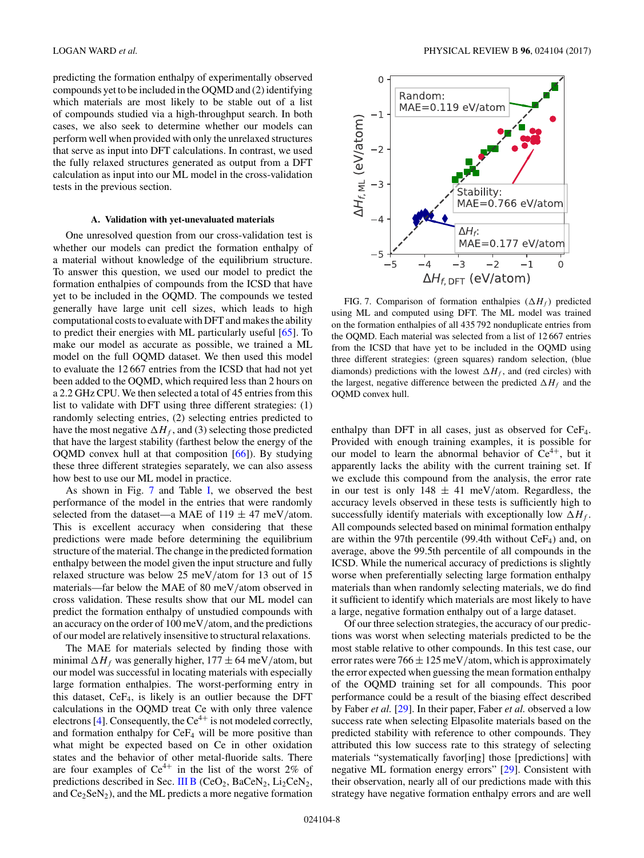<span id="page-7-0"></span>predicting the formation enthalpy of experimentally observed compounds yet to be included in the OQMD and (2) identifying which materials are most likely to be stable out of a list of compounds studied via a high-throughput search. In both cases, we also seek to determine whether our models can perform well when provided with only the unrelaxed structures that serve as input into DFT calculations. In contrast, we used the fully relaxed structures generated as output from a DFT calculation as input into our ML model in the cross-validation tests in the previous section.

#### **A. Validation with yet-unevaluated materials**

One unresolved question from our cross-validation test is whether our models can predict the formation enthalpy of a material without knowledge of the equilibrium structure. To answer this question, we used our model to predict the formation enthalpies of compounds from the ICSD that have yet to be included in the OQMD. The compounds we tested generally have large unit cell sizes, which leads to high computational costs to evaluate with DFT and makes the ability to predict their energies with ML particularly useful [\[65\]](#page-11-0). To make our model as accurate as possible, we trained a ML model on the full OQMD dataset. We then used this model to evaluate the 12 667 entries from the ICSD that had not yet been added to the OQMD, which required less than 2 hours on a 2.2 GHz CPU. We then selected a total of 45 entries from this list to validate with DFT using three different strategies: (1) randomly selecting entries, (2) selecting entries predicted to have the most negative  $\Delta H_f$ , and (3) selecting those predicted that have the largest stability (farthest below the energy of the OQMD convex hull at that composition  $[66]$ ). By studying these three different strategies separately, we can also assess how best to use our ML model in practice.

As shown in Fig. 7 and Table [I,](#page-8-0) we observed the best performance of the model in the entries that were randomly selected from the dataset—a MAE of  $119 \pm 47$  meV/atom. This is excellent accuracy when considering that these predictions were made before determining the equilibrium structure of the material. The change in the predicted formation enthalpy between the model given the input structure and fully relaxed structure was below 25 meV*/*atom for 13 out of 15 materials—far below the MAE of 80 meV*/*atom observed in cross validation. These results show that our ML model can predict the formation enthalpy of unstudied compounds with an accuracy on the order of 100 meV*/*atom, and the predictions of our model are relatively insensitive to structural relaxations.

The MAE for materials selected by finding those with minimal  $\Delta H_f$  was generally higher,  $177 \pm 64$  meV/atom, but our model was successful in locating materials with especially large formation enthalpies. The worst-performing entry in this dataset,  $CeF_4$ , is likely is an outlier because the DFT calculations in the OQMD treat Ce with only three valence electrons [\[4\]](#page-10-0). Consequently, the  $Ce^{4+}$  is not modeled correctly, and formation enthalpy for  $CeF_4$  will be more positive than what might be expected based on Ce in other oxidation states and the behavior of other metal-fluoride salts. There are four examples of  $Ce^{4+}$  in the list of the worst 2% of predictions described in Sec. [III B](#page-5-0) (CeO<sub>2</sub>, BaCeN<sub>2</sub>, Li<sub>2</sub>CeN<sub>2</sub>, and  $Ce<sub>2</sub>SeN<sub>2</sub>$ ), and the ML predicts a more negative formation



FIG. 7. Comparison of formation enthalpies  $(\Delta H_f)$  predicted using ML and computed using DFT. The ML model was trained on the formation enthalpies of all 435 792 nonduplicate entries from the OQMD. Each material was selected from a list of 12 667 entries from the ICSD that have yet to be included in the OQMD using three different strategies: (green squares) random selection, (blue diamonds) predictions with the lowest  $\Delta H_f$ , and (red circles) with the largest, negative difference between the predicted  $\Delta H_f$  and the OQMD convex hull.

enthalpy than DFT in all cases, just as observed for CeF4. Provided with enough training examples, it is possible for our model to learn the abnormal behavior of  $Ce^{4+}$ , but it apparently lacks the ability with the current training set. If we exclude this compound from the analysis, the error rate in our test is only  $148 \pm 41$  meV/atom. Regardless, the accuracy levels observed in these tests is sufficiently high to successfully identify materials with exceptionally low  $\Delta H_f$ . All compounds selected based on minimal formation enthalpy are within the 97th percentile (99.4th without  $CeF_4$ ) and, on average, above the 99.5th percentile of all compounds in the ICSD. While the numerical accuracy of predictions is slightly worse when preferentially selecting large formation enthalpy materials than when randomly selecting materials, we do find it sufficient to identify which materials are most likely to have a large, negative formation enthalpy out of a large dataset.

Of our three selection strategies, the accuracy of our predictions was worst when selecting materials predicted to be the most stable relative to other compounds. In this test case, our error rates were  $766 \pm 125$  meV/atom, which is approximately the error expected when guessing the mean formation enthalpy of the OQMD training set for all compounds. This poor performance could be a result of the biasing effect described by Faber *et al.* [\[29\]](#page-11-0). In their paper, Faber *et al.* observed a low success rate when selecting Elpasolite materials based on the predicted stability with reference to other compounds. They attributed this low success rate to this strategy of selecting materials "systematically favor[ing] those [predictions] with negative ML formation energy errors" [\[29\]](#page-11-0). Consistent with their observation, nearly all of our predictions made with this strategy have negative formation enthalpy errors and are well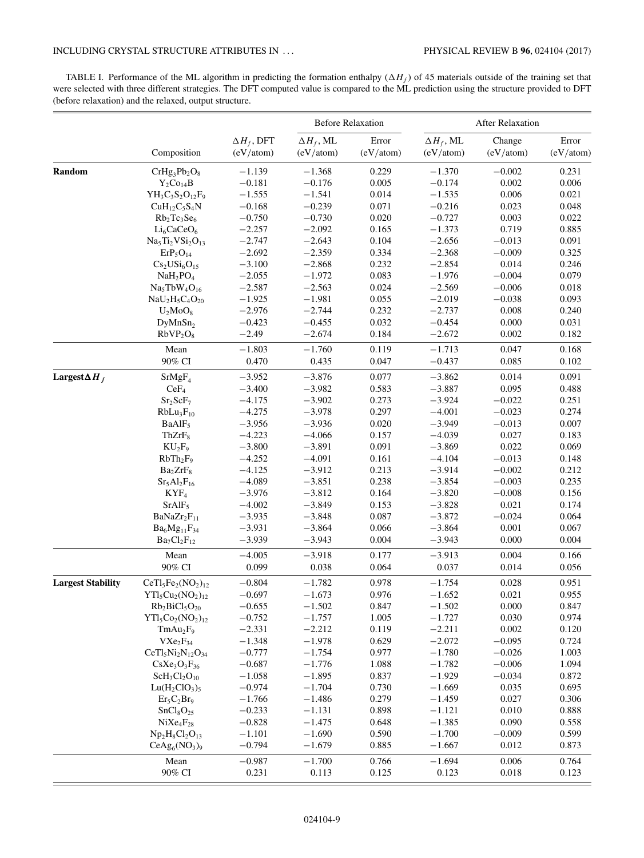## <span id="page-8-0"></span>INCLUDING CRYSTAL STRUCTURE ATTRIBUTES IN . . . PHYSICAL REVIEW B **96**, 024104 (2017)

TABLE I. Performance of the ML algorithm in predicting the formation enthalpy  $(\Delta H_f)$  of 45 materials outside of the training set that were selected with three different strategies. The DFT computed value is compared to the ML prediction using the structure provided to DFT (before relaxation) and the relaxed, output structure.

|                          | Composition                         | $\Delta H_f$ , DFT<br>(eV/atom) | <b>Before Relaxation</b>       |                    | <b>After Relaxation</b>        |                     |                    |
|--------------------------|-------------------------------------|---------------------------------|--------------------------------|--------------------|--------------------------------|---------------------|--------------------|
|                          |                                     |                                 | $\Delta H_f$ , ML<br>(eV/atom) | Error<br>(eV/atom) | $\Delta H_f$ , ML<br>(eV/atom) | Change<br>(eV/atom) | Error<br>(eV/atom) |
| Random                   | $CrHg_3Pb_2O_8$                     | $-1.139$                        | $-1.368$                       | 0.229              | $-1.370$                       | $-0.002$            | 0.231              |
|                          | $Y_2Co_{14}B$                       | $-0.181$                        | $-0.176$                       | 0.005              | $-0.174$                       | 0.002               | 0.006              |
|                          | $YH_3C_3S_2O_{12}F_9$               | $-1.555$                        | $-1.541$                       | 0.014              | $-1.535$                       | 0.006               | 0.021              |
|                          | $CuH12C5S4N$                        | $-0.168$                        | $-0.239$                       | 0.071              | $-0.216$                       | 0.023               | 0.048              |
|                          | $Rb_2Tc_3Se_6$                      | $-0.750$                        | $-0.730$                       | 0.020              | $-0.727$                       | 0.003               | 0.022              |
|                          | $Li_6CaCeO_6$                       | $-2.257$                        | $-2.092$                       | 0.165              | $-1.373$                       | 0.719               | 0.885              |
|                          | $Na5Ti2VSi2O13$                     | $-2.747$                        | $-2.643$                       | 0.104              | $-2.656$                       | $-0.013$            | 0.091              |
|                          | $ErP_5O_{14}$                       | $-2.692$                        | $-2.359$                       | 0.334              | $-2.368$                       | $-0.009$            | 0.325              |
|                          | $Cs2USi6O15$                        | $-3.100$                        | $-2.868$                       | 0.232              | $-2.854$                       | 0.014               | 0.246              |
|                          | NaH <sub>2</sub> PO <sub>4</sub>    | $-2.055$                        | $-1.972$                       | 0.083              | $-1.976$                       | $-0.004$            | 0.079              |
|                          | $Na5TbW4O16$                        | $-2.587$                        | $-2.563$                       | 0.024              | $-2.569$                       | $-0.006$            | 0.018              |
|                          |                                     | $-1.925$                        | $-1.981$                       | 0.055              | $-2.019$                       | $-0.038$            | 0.093              |
|                          | $NaU2H5C4O20$                       | $-2.976$                        | $-2.744$                       | 0.232              | $-2.737$                       | 0.008               | 0.240              |
|                          | $U_2MO_8$                           |                                 |                                |                    |                                |                     |                    |
|                          | DyMnSn <sub>2</sub>                 | $-0.423$                        | $-0.455$                       | 0.032              | $-0.454$                       | 0.000               | 0.031              |
|                          | RbVP <sub>2</sub> O <sub>8</sub>    | $-2.49$                         | $-2.674$                       | 0.184              | $-2.672$                       | 0.002               | 0.182              |
|                          | Mean                                | $-1.803$                        | $-1.760$                       | 0.119              | $-1.713$                       | 0.047               | 0.168              |
|                          | 90% CI                              | 0.470                           | 0.435                          | 0.047              | $-0.437$                       | 0.085               | 0.102              |
| Largest $\Delta H_f$     | SrMgF <sub>4</sub>                  | $-3.952$                        | $-3.876$                       | 0.077              | $-3.862$                       | 0.014               | 0.091              |
|                          | CeF <sub>4</sub>                    | $-3.400$                        | $-3.982$                       | 0.583              | $-3.887$                       | 0.095               | 0.488              |
|                          | Sr <sub>2</sub> ScF <sub>7</sub>    | $-4.175$                        | $-3.902$                       | 0.273              | $-3.924$                       | $-0.022$            | 0.251              |
|                          | $RbLu_3F_{10}$                      | $-4.275$                        | $-3.978$                       | 0.297              | $-4.001$                       | $-0.023$            | 0.274              |
|                          | BaAlF <sub>5</sub>                  | $-3.956$                        | $-3.936$                       | 0.020              | $-3.949$                       | $-0.013$            | 0.007              |
|                          | ThZrF <sub>8</sub>                  | $-4.223$                        | $-4.066$                       | 0.157              | $-4.039$                       | 0.027               | 0.183              |
|                          | $KU_2F_9$                           | $-3.800$                        | $-3.891$                       | 0.091              | $-3.869$                       | 0.022               | 0.069              |
|                          | $RbTh_2F_9$                         | $-4.252$                        | $-4.091$                       | 0.161              | $-4.104$                       | $-0.013$            | 0.148              |
|                          | Ba <sub>2</sub> ZrF <sub>8</sub>    | $-4.125$                        | $-3.912$                       | 0.213              | $-3.914$                       | $-0.002$            | 0.212              |
|                          | $Sr5Al2F16$                         | $-4.089$                        | $-3.851$                       | 0.238              | $-3.854$                       | $-0.003$            | 0.235              |
|                          | KYF <sub>4</sub>                    | $-3.976$                        | $-3.812$                       | 0.164              | $-3.820$                       | $-0.008$            | 0.156              |
|                          | $SrAlF_5$                           | $-4.002$                        | $-3.849$                       | 0.153              | $-3.828$                       | 0.021               | 0.174              |
|                          | BaNaZr <sub>2</sub> F <sub>11</sub> | $-3.935$                        | $-3.848$                       | 0.087              | $-3.872$                       | $-0.024$            | 0.064              |
|                          | $Ba_6Mg_{11}F_{34}$                 | $-3.931$                        | $-3.864$                       | 0.066              | $-3.864$                       | 0.001               | 0.067              |
|                          | $Ba_7Cl_2F_{12}$                    | $-3.939$                        | $-3.943$                       | 0.004              | $-3.943$                       | 0.000               | 0.004              |
|                          | Mean                                | $-4.005$                        | $-3.918$                       | 0.177              | $-3.913$                       | 0.004               | 0.166              |
|                          | 90% CI                              | 0.099                           | 0.038                          | 0.064              | 0.037                          | 0.014               | 0.056              |
| <b>Largest Stability</b> | $CeTI5Fe2(NO2)12$                   | $-0.804$                        | $-1.782$                       | 0.978              | $-1.754$                       | 0.028               | 0.951              |
|                          | $YTl_5Cu_2(NO_2)_{12}$              | $-0.697$                        | $-1.673$                       | 0.976              | $-1.652$                       | 0.021               | 0.955              |
|                          | $Rb_2BiCl_5O_{20}$                  | $-0.655$                        | $-1.502$                       | 0.847              | $-1.502$                       | 0.000               | 0.847              |
|                          | $YTl_5Co_2(NO_2)_{12}$              | $-0.752$                        | $-1.757$                       | 1.005              | $-1.727$                       | 0.030               | 0.974              |
|                          | TmAu <sub>2</sub> F <sub>9</sub>    | $-2.331$                        | $-2.212$                       | 0.119              | $-2.211$                       | 0.002               | 0.120              |
|                          | $V Xe_2F_{34}$                      | $-1.348$                        | $-1.978$                       | 0.629              | $-2.072$                       | $-0.095$            | 0.724              |
|                          | $CeTI5Ni2N12O34$                    | $-0.777$                        | $-1.754$                       | 0.977              | $-1.780$                       | $-0.026$            | 1.003              |
|                          |                                     | $-0.687$                        | $-1.776$                       | 1.088              | $-1.782$                       | $-0.006$            | 1.094              |
|                          | $CsXe3O3F36$                        | $-1.058$                        | $-1.895$                       | 0.837              | $-1.929$                       | $-0.034$            | 0.872              |
|                          | $ScH_3Cl_2O_{10}$                   |                                 |                                |                    |                                |                     |                    |
|                          | $Lu(H_2ClO_3)$ <sub>5</sub>         | $-0.974$                        | $-1.704$                       | 0.730              | $-1.669$                       | 0.035               | 0.695              |
|                          | $Er_5C_2Br_9$                       | $-1.766$                        | $-1.486$                       | 0.279              | $-1.459$                       | 0.027               | 0.306              |
|                          | SnCl <sub>8</sub> O <sub>25</sub>   | $-0.233$                        | $-1.131$                       | 0.898              | $-1.121$                       | 0.010               | 0.888              |
|                          | $NiXe_4F_{28}$                      | $-0.828$                        | $-1.475$                       | 0.648              | $-1.385$                       | 0.090               | 0.558              |
|                          | $Np_2H_8Cl_2O_{13}$                 | $-1.101$                        | $-1.690$                       | 0.590              | $-1.700$                       | $-0.009$            | 0.599              |
|                          | $CeAg6(NO3)9$                       | $-0.794$                        | $-1.679$                       | 0.885              | $-1.667$                       | 0.012               | 0.873              |
|                          | Mean                                | $-0.987$                        | $-1.700$                       | 0.766              | $-1.694$                       | 0.006               | 0.764              |
|                          | 90% CI                              | 0.231                           | 0.113                          | 0.125              | 0.123                          | 0.018               | 0.123              |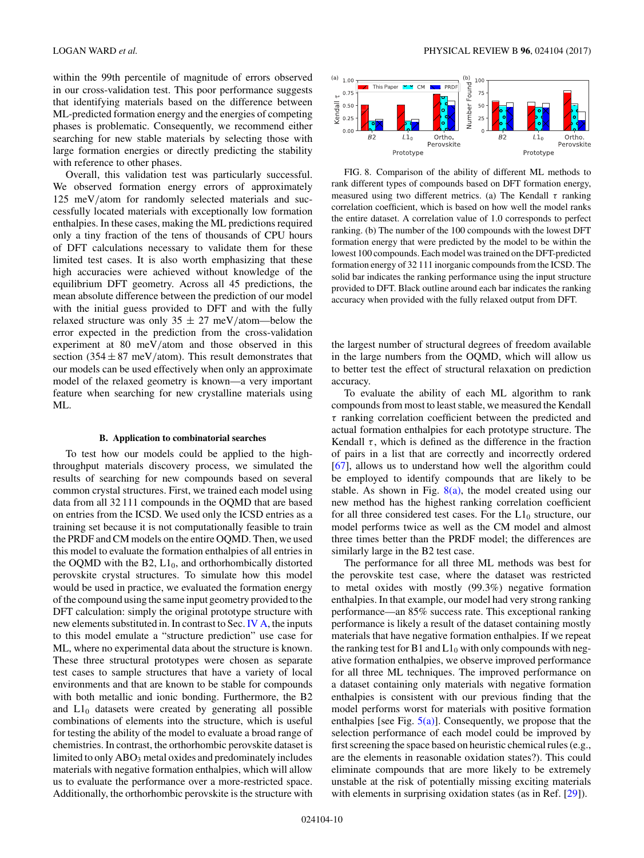<span id="page-9-0"></span>within the 99th percentile of magnitude of errors observed in our cross-validation test. This poor performance suggests that identifying materials based on the difference between ML-predicted formation energy and the energies of competing phases is problematic. Consequently, we recommend either searching for new stable materials by selecting those with large formation energies or directly predicting the stability with reference to other phases.

Overall, this validation test was particularly successful. We observed formation energy errors of approximately 125 meV*/*atom for randomly selected materials and successfully located materials with exceptionally low formation enthalpies. In these cases, making the ML predictions required only a tiny fraction of the tens of thousands of CPU hours of DFT calculations necessary to validate them for these limited test cases. It is also worth emphasizing that these high accuracies were achieved without knowledge of the equilibrium DFT geometry. Across all 45 predictions, the mean absolute difference between the prediction of our model with the initial guess provided to DFT and with the fully relaxed structure was only 35 ± 27 meV*/*atom—below the error expected in the prediction from the cross-validation experiment at 80 meV*/*atom and those observed in this section  $(354 \pm 87 \text{ meV/atom})$ . This result demonstrates that our models can be used effectively when only an approximate model of the relaxed geometry is known—a very important feature when searching for new crystalline materials using ML.

#### **B. Application to combinatorial searches**

To test how our models could be applied to the highthroughput materials discovery process, we simulated the results of searching for new compounds based on several common crystal structures. First, we trained each model using data from all 32 111 compounds in the OQMD that are based on entries from the ICSD. We used only the ICSD entries as a training set because it is not computationally feasible to train the PRDF and CM models on the entire OQMD. Then, we used this model to evaluate the formation enthalpies of all entries in the OQMD with the B2,  $L1_0$ , and orthorhombically distorted perovskite crystal structures. To simulate how this model would be used in practice, we evaluated the formation energy of the compound using the same input geometry provided to the DFT calculation: simply the original prototype structure with new elements substituted in. In contrast to Sec. [IV A,](#page-7-0) the inputs to this model emulate a "structure prediction" use case for ML, where no experimental data about the structure is known. These three structural prototypes were chosen as separate test cases to sample structures that have a variety of local environments and that are known to be stable for compounds with both metallic and ionic bonding. Furthermore, the B2 and  $L1_0$  datasets were created by generating all possible combinations of elements into the structure, which is useful for testing the ability of the model to evaluate a broad range of chemistries. In contrast, the orthorhombic perovskite dataset is limited to only  $\rm{ABO_3}$  metal oxides and predominately includes materials with negative formation enthalpies, which will allow us to evaluate the performance over a more-restricted space. Additionally, the orthorhombic perovskite is the structure with



FIG. 8. Comparison of the ability of different ML methods to rank different types of compounds based on DFT formation energy, measured using two different metrics. (a) The Kendall *τ* ranking correlation coefficient, which is based on how well the model ranks the entire dataset. A correlation value of 1.0 corresponds to perfect ranking. (b) The number of the 100 compounds with the lowest DFT formation energy that were predicted by the model to be within the lowest 100 compounds. Each model was trained on the DFT-predicted formation energy of 32 111 inorganic compounds from the ICSD. The solid bar indicates the ranking performance using the input structure provided to DFT. Black outline around each bar indicates the ranking accuracy when provided with the fully relaxed output from DFT.

the largest number of structural degrees of freedom available in the large numbers from the OQMD, which will allow us to better test the effect of structural relaxation on prediction accuracy.

To evaluate the ability of each ML algorithm to rank compounds from most to least stable, we measured the Kendall *τ* ranking correlation coefficient between the predicted and actual formation enthalpies for each prototype structure. The Kendall  $\tau$ , which is defined as the difference in the fraction of pairs in a list that are correctly and incorrectly ordered [\[67\]](#page-11-0), allows us to understand how well the algorithm could be employed to identify compounds that are likely to be stable. As shown in Fig.  $8(a)$ , the model created using our new method has the highest ranking correlation coefficient for all three considered test cases. For the  $L1_0$  structure, our model performs twice as well as the CM model and almost three times better than the PRDF model; the differences are similarly large in the B2 test case.

The performance for all three ML methods was best for the perovskite test case, where the dataset was restricted to metal oxides with mostly (99.3%) negative formation enthalpies. In that example, our model had very strong ranking performance—an 85% success rate. This exceptional ranking performance is likely a result of the dataset containing mostly materials that have negative formation enthalpies. If we repeat the ranking test for B1 and  $L1_0$  with only compounds with negative formation enthalpies, we observe improved performance for all three ML techniques. The improved performance on a dataset containing only materials with negative formation enthalpies is consistent with our previous finding that the model performs worst for materials with positive formation enthalpies [see Fig.  $5(a)$ ]. Consequently, we propose that the selection performance of each model could be improved by first screening the space based on heuristic chemical rules (e.g., are the elements in reasonable oxidation states?). This could eliminate compounds that are more likely to be extremely unstable at the risk of potentially missing exciting materials with elements in surprising oxidation states (as in Ref. [\[29\]](#page-11-0)).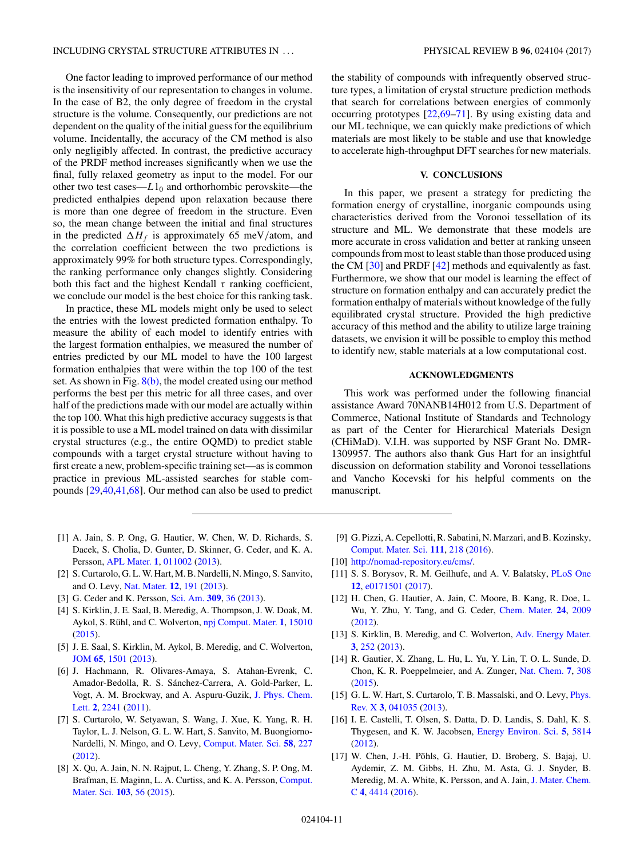<span id="page-10-0"></span>One factor leading to improved performance of our method is the insensitivity of our representation to changes in volume. In the case of B2, the only degree of freedom in the crystal structure is the volume. Consequently, our predictions are not dependent on the quality of the initial guess for the equilibrium volume. Incidentally, the accuracy of the CM method is also only negligibly affected. In contrast, the predictive accuracy of the PRDF method increases significantly when we use the final, fully relaxed geometry as input to the model. For our other two test cases— $L1_0$  and orthorhombic perovskite—the predicted enthalpies depend upon relaxation because there is more than one degree of freedom in the structure. Even so, the mean change between the initial and final structures in the predicted  $\Delta H_f$  is approximately 65 meV/atom, and the correlation coefficient between the two predictions is approximately 99% for both structure types. Correspondingly, the ranking performance only changes slightly. Considering both this fact and the highest Kendall  $\tau$  ranking coefficient, we conclude our model is the best choice for this ranking task.

In practice, these ML models might only be used to select the entries with the lowest predicted formation enthalpy. To measure the ability of each model to identify entries with the largest formation enthalpies, we measured the number of entries predicted by our ML model to have the 100 largest formation enthalpies that were within the top 100 of the test set. As shown in Fig.  $8(b)$ , the model created using our method performs the best per this metric for all three cases, and over half of the predictions made with our model are actually within the top 100. What this high predictive accuracy suggests is that it is possible to use a ML model trained on data with dissimilar crystal structures (e.g., the entire OQMD) to predict stable compounds with a target crystal structure without having to first create a new, problem-specific training set—as is common practice in previous ML-assisted searches for stable compounds [\[29,40,41,68\]](#page-11-0). Our method can also be used to predict the stability of compounds with infrequently observed structure types, a limitation of crystal structure prediction methods that search for correlations between energies of commonly occurring prototypes [\[22,69–71\]](#page-11-0). By using existing data and our ML technique, we can quickly make predictions of which materials are most likely to be stable and use that knowledge to accelerate high-throughput DFT searches for new materials.

#### **V. CONCLUSIONS**

In this paper, we present a strategy for predicting the formation energy of crystalline, inorganic compounds using characteristics derived from the Voronoi tessellation of its structure and ML. We demonstrate that these models are more accurate in cross validation and better at ranking unseen compounds from most to least stable than those produced using the CM [\[30\]](#page-11-0) and PRDF [\[42\]](#page-11-0) methods and equivalently as fast. Furthermore, we show that our model is learning the effect of structure on formation enthalpy and can accurately predict the formation enthalpy of materials without knowledge of the fully equilibrated crystal structure. Provided the high predictive accuracy of this method and the ability to utilize large training datasets, we envision it will be possible to employ this method to identify new, stable materials at a low computational cost.

### **ACKNOWLEDGMENTS**

This work was performed under the following financial assistance Award 70NANB14H012 from U.S. Department of Commerce, National Institute of Standards and Technology as part of the Center for Hierarchical Materials Design (CHiMaD). V.I.H. was supported by NSF Grant No. DMR-1309957. The authors also thank Gus Hart for an insightful discussion on deformation stability and Voronoi tessellations and Vancho Kocevski for his helpful comments on the manuscript.

- [1] A. Jain, S. P. Ong, G. Hautier, W. Chen, W. D. Richards, S. Dacek, S. Cholia, D. Gunter, D. Skinner, G. Ceder, and K. A. Persson, [APL Mater.](https://doi.org/10.1063/1.4812323) **[1](https://doi.org/10.1063/1.4812323)**, [011002](https://doi.org/10.1063/1.4812323) [\(2013\)](https://doi.org/10.1063/1.4812323).
- [2] S. Curtarolo, G. L. W. Hart, M. B. Nardelli, N. Mingo, S. Sanvito, and O. Levy, [Nat. Mater.](https://doi.org/10.1038/nmat3568) **[12](https://doi.org/10.1038/nmat3568)**, [191](https://doi.org/10.1038/nmat3568) [\(2013\)](https://doi.org/10.1038/nmat3568).
- [3] G. Ceder and K. Persson, [Sci. Am.](https://doi.org/10.1038/scientificamerican1213-36) **[309](https://doi.org/10.1038/scientificamerican1213-36)**, [36](https://doi.org/10.1038/scientificamerican1213-36) [\(2013\)](https://doi.org/10.1038/scientificamerican1213-36).
- [4] S. Kirklin, J. E. Saal, B. Meredig, A. Thompson, J. W. Doak, M. Aykol, S. Rühl, and C. Wolverton, [npj Comput. Mater.](https://doi.org/10.1038/npjcompumats.2015.10) **[1](https://doi.org/10.1038/npjcompumats.2015.10)**, [15010](https://doi.org/10.1038/npjcompumats.2015.10) [\(2015\)](https://doi.org/10.1038/npjcompumats.2015.10).
- [5] J. E. Saal, S. Kirklin, M. Aykol, B. Meredig, and C. Wolverton, [JOM](https://doi.org/10.1007/s11837-013-0755-4) **[65](https://doi.org/10.1007/s11837-013-0755-4)**, [1501](https://doi.org/10.1007/s11837-013-0755-4) [\(2013\)](https://doi.org/10.1007/s11837-013-0755-4).
- [6] J. Hachmann, R. Olivares-Amaya, S. Atahan-Evrenk, C. Amador-Bedolla, R. S. Sánchez-Carrera, A. Gold-Parker, L. [Vogt, A. M. Brockway, and A. Aspuru-Guzik,](https://doi.org/10.1021/jz200866s) J. Phys. Chem. Lett. **[2](https://doi.org/10.1021/jz200866s)**, [2241](https://doi.org/10.1021/jz200866s) [\(2011\)](https://doi.org/10.1021/jz200866s).
- [7] S. Curtarolo, W. Setyawan, S. Wang, J. Xue, K. Yang, R. H. Taylor, L. J. Nelson, G. L. W. Hart, S. Sanvito, M. Buongiorno-Nardelli, N. Mingo, and O. Levy, [Comput. Mater. Sci.](https://doi.org/10.1016/j.commatsci.2012.02.002) **[58](https://doi.org/10.1016/j.commatsci.2012.02.002)**, [227](https://doi.org/10.1016/j.commatsci.2012.02.002) [\(2012\)](https://doi.org/10.1016/j.commatsci.2012.02.002).
- [8] X. Qu, A. Jain, N. N. Rajput, L. Cheng, Y. Zhang, S. P. Ong, M. [Brafman, E. Maginn, L. A. Curtiss, and K. A. Persson,](https://doi.org/10.1016/j.commatsci.2015.02.050) Comput. Mater. Sci. **[103](https://doi.org/10.1016/j.commatsci.2015.02.050)**, [56](https://doi.org/10.1016/j.commatsci.2015.02.050) [\(2015\)](https://doi.org/10.1016/j.commatsci.2015.02.050).
- [9] G. Pizzi, A. Cepellotti, R. Sabatini, N. Marzari, and B. Kozinsky, [Comput. Mater. Sci.](https://doi.org/10.1016/j.commatsci.2015.09.013) **[111](https://doi.org/10.1016/j.commatsci.2015.09.013)**, [218](https://doi.org/10.1016/j.commatsci.2015.09.013) [\(2016\)](https://doi.org/10.1016/j.commatsci.2015.09.013).
- [10] [http://nomad-repository.eu/cms/.](http://nomad-repository.eu/cms/)
- [11] S. S. Borysov, R. M. Geilhufe, and A. V. Balatsky, [PLoS One](https://doi.org/10.1371/journal.pone.0171501) **[12](https://doi.org/10.1371/journal.pone.0171501)**, [e0171501](https://doi.org/10.1371/journal.pone.0171501) [\(2017\)](https://doi.org/10.1371/journal.pone.0171501).
- [12] H. Chen, G. Hautier, A. Jain, C. Moore, B. Kang, R. Doe, L. Wu, Y. Zhu, Y. Tang, and G. Ceder, [Chem. Mater.](https://doi.org/10.1021/cm203243x) **[24](https://doi.org/10.1021/cm203243x)**, [2009](https://doi.org/10.1021/cm203243x) [\(2012\)](https://doi.org/10.1021/cm203243x).
- [13] S. Kirklin, B. Meredig, and C. Wolverton, [Adv. Energy Mater.](https://doi.org/10.1002/aenm.201200593) **[3](https://doi.org/10.1002/aenm.201200593)**, [252](https://doi.org/10.1002/aenm.201200593) [\(2013\)](https://doi.org/10.1002/aenm.201200593).
- [14] R. Gautier, X. Zhang, L. Hu, L. Yu, Y. Lin, T. O. L. Sunde, D. Chon, K. R. Poeppelmeier, and A. Zunger, [Nat. Chem.](https://doi.org/10.1038/nchem.2207) **[7](https://doi.org/10.1038/nchem.2207)**, [308](https://doi.org/10.1038/nchem.2207) [\(2015\)](https://doi.org/10.1038/nchem.2207).
- [15] [G. L. W. Hart, S. Curtarolo, T. B. Massalski, and O. Levy,](https://doi.org/10.1103/PhysRevX.3.041035) *Phys.* Rev. X **[3](https://doi.org/10.1103/PhysRevX.3.041035)**, [041035](https://doi.org/10.1103/PhysRevX.3.041035) [\(2013\)](https://doi.org/10.1103/PhysRevX.3.041035).
- [16] I. E. Castelli, T. Olsen, S. Datta, D. D. Landis, S. Dahl, K. S. Thygesen, and K. W. Jacobsen, [Energy Environ. Sci.](https://doi.org/10.1039/C1EE02717D) **[5](https://doi.org/10.1039/C1EE02717D)**, [5814](https://doi.org/10.1039/C1EE02717D) [\(2012\)](https://doi.org/10.1039/C1EE02717D).
- [17] W. Chen, J.-H. Pöhls, G. Hautier, D. Broberg, S. Bajaj, U. Aydemir, Z. M. Gibbs, H. Zhu, M. Asta, G. J. Snyder, B. [Meredig, M. A. White, K. Persson, and A. Jain,](https://doi.org/10.1039/C5TC04339E) J. Mater. Chem. C **[4](https://doi.org/10.1039/C5TC04339E)**, [4414](https://doi.org/10.1039/C5TC04339E) [\(2016\)](https://doi.org/10.1039/C5TC04339E).